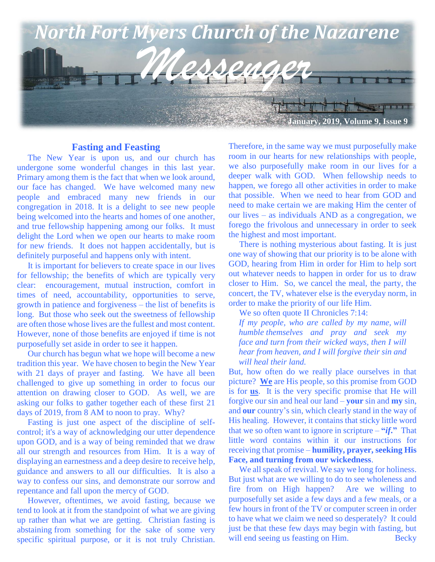

#### **Fasting and Feasting**

 The New Year is upon us, and our church has undergone some wonderful changes in this last year. Primary among them is the fact that when we look around, our face has changed. We have welcomed many new people and embraced many new friends in our congregation in 2018. It is a delight to see new people being welcomed into the hearts and homes of one another, and true fellowship happening among our folks. It must delight the Lord when we open our hearts to make room for new friends. It does not happen accidentally, but is definitely purposeful and happens only with intent.

 It is important for believers to create space in our lives for fellowship; the benefits of which are typically very clear: encouragement, mutual instruction, comfort in times of need, accountability, opportunities to serve, growth in patience and forgiveness – the list of benefits is long. But those who seek out the sweetness of fellowship are often those whose lives are the fullest and most content. However, none of those benefits are enjoyed if time is not purposefully set aside in order to see it happen.

 Our church has begun what we hope will become a new tradition this year. We have chosen to begin the New Year with 21 days of prayer and fasting. We have all been challenged to give up something in order to focus our attention on drawing closer to GOD. As well, we are asking our folks to gather together each of these first 21 days of 2019, from 8 AM to noon to pray. Why?

 Fasting is just one aspect of the discipline of selfcontrol; it's a way of acknowledging our utter dependence upon GOD, and is a way of being reminded that we draw all our strength and resources from Him. It is a way of displaying an earnestness and a deep desire to receive help, guidance and answers to all our difficulties. It is also a way to confess our sins, and demonstrate our sorrow and repentance and fall upon the mercy of GOD.

 However, oftentimes, we avoid fasting, because we tend to look at it from the standpoint of what we are giving up rather than what we are getting. Christian fasting is abstaining from something for the sake of some very specific spiritual purpose, or it is not truly Christian. Therefore, in the same way we must purposefully make room in our hearts for new relationships with people, we also purposefully make room in our lives for a deeper walk with GOD. When fellowship needs to happen, we forego all other activities in order to make that possible. When we need to hear from GOD and need to make certain we are making Him the center of our lives – as individuals AND as a congregation, we forego the frivolous and unnecessary in order to seek the highest and most important.

 There is nothing mysterious about fasting. It is just one way of showing that our priority is to be alone with GOD, hearing from Him in order for Him to help sort out whatever needs to happen in order for us to draw closer to Him. So, we cancel the meal, the party, the concert, the TV, whatever else is the everyday norm, in order to make the priority of our life Him.

We so often quote II Chronicles 7:14:

*If my people, who are called by my name, will humble themselves and pray and seek my face and turn from their wicked ways, then I will hear from heaven, and I will forgive their sin and will heal their land.*

But, how often do we really place ourselves in that picture? **We** are His people, so this promise from GOD is for **us**. It is the very specific promise that He will forgive our sin and heal our land – **your** sin and **my** sin, and **our** country's sin, which clearly stand in the way of His healing. However, it contains that sticky little word that we so often want to ignore in scripture – **"***if***."** That little word contains within it our instructions for receiving that promise – **humility, prayer, seeking His Face, and turning from our wickedness**.

We all speak of revival. We say we long for holiness. But just what are we willing to do to see wholeness and fire from on High happen? Are we willing to purposefully set aside a few days and a few meals, or a few hours in front of the TV or computer screen in order to have what we claim we need so desperately? It could just be that these few days may begin with fasting, but will end seeing us feasting on Him. Becky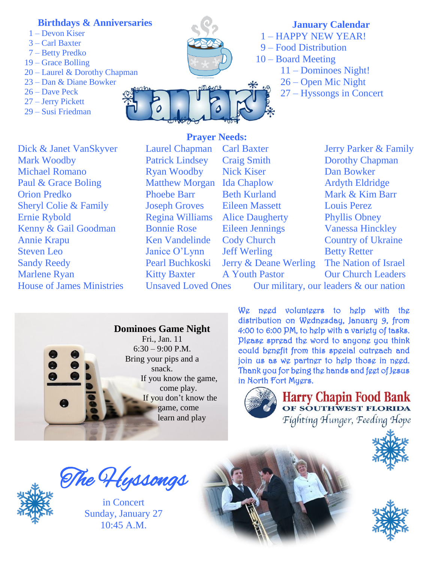# **Birthdays & Anniversaries**

- 1 Devon Kiser
- 3 Carl Baxter
- 7 Betty Predko
- 19 Grace Bolling
- 20 Laurel & Dorothy Chapman
- 23 Dan & Diane Bowker
- 26 Dave Peck
- 27 Jerry Pickett
- 29 Susi Friedman



**January Calendar** 1 – HAPPY NEW YEAR! 9 – Food Distribution 10 – Board Meeting 11 – Dominoes Night! 26 – Open Mic Night 27 – Hyssongs in Concert

# **EXAMPLE SHERICO COLLECTED** Sheryl Colie & Family Joseph Groves Eileen Massett Louis Perez **Ernie Rybold Example Strate Constructed Armstrale Constructed Armstrale Constructed Armstrale Constructed Armstrale Constructed** Dick & Janet VanSkyver Laurel Chapman Carl Baxter Jerry Parker & Family Mark Woodby **Patrick Lindsey** Craig Smith **Dorothy Chapman** Michael Romano Ryan Woodby Nick Kiser Dan Bowker Paul & Grace Boling Matthew Morgan Ida Chaplow Ardyth Eldridge Orion Predko Phoebe Barr Beth Kurland Mark & Kim Barr Annie Krapu Ken Vandelinde Cody Church Country of Ukraine Steven Leo Janice O'Lynn Jeff Werling Betty Retter Sandy Reedy Pearl Buchkoski Jerry & Deane Werling The Nation of Israel Marlene Ryan Kitty Baxter A Youth Pastor Our Church Leaders

**Prayer Needs:** Regina Williams Alice Daugherty Phyllis Obney

House of James Ministries Unsaved Loved Ones Our military, our leaders & our nation



We need volunteers to help with the distribution on Wednesday, January 9, from 4:00 to 6:00 PM, to help with a variety of tasks. Please spread the word to anyone you think could benefit from this special outreach and join us as we partner to help those in need. Thank you for being the hands and feet of Jesus in North Fort Myers.



Harry Chapin Food Bank Fighting Hunger, Feeding Hope





The Hyssongs

in Concert Sunday, January 27  $10.45$  A M

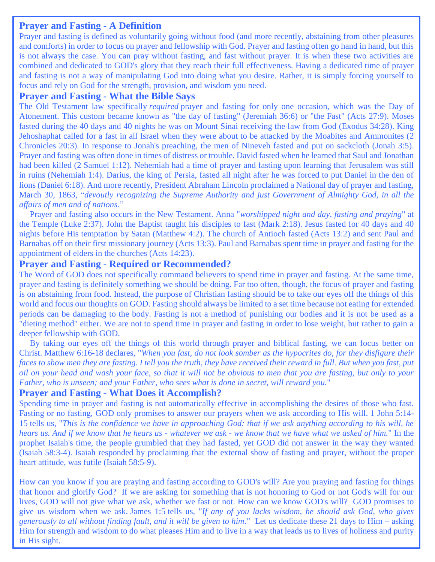# **Prayer and Fasting - A Definition**

Prayer and fasting is defined as voluntarily going without food (and more recently, abstaining from other pleasures and comforts) in order to focus on prayer and fellowship with God. Prayer and fasting often go hand in hand, but this is not always the case. You can pray without fasting, and fast without prayer. It is when these two activities are combined and dedicated to GOD's glory that they reach their full effectiveness. Having a dedicated time of prayer and fasting is not a way of manipulating God into doing what you desire. Rather, it is simply forcing yourself to focus and rely on God for the strength, provision, and wisdom you need.

# **Prayer and Fasting - What the Bible Says**

The Old Testament law specifically *required* prayer and fasting for only one occasion, which was the Day of Atonement. This custom became known as "the day of fasting" [\(Jeremiah 36:6\)](https://ebible.com/query?utf=8%E2%9C%93&query=Jeremiah%2036%3A6&translation=ESV&redirect_iframe=https://www.allaboutprayer.org/bible.htm) or "the Fast" [\(Acts 27:9\)](https://ebible.com/query?utf=8%E2%9C%93&query=Acts%2027%3A9&translation=ESV&redirect_iframe=https://www.allaboutprayer.org/bible.htm). Moses fasted during the 40 days and 40 nights he was on Mount Sinai receiving the law from God [\(Exodus 34:28\)](https://ebible.com/query?utf=8%E2%9C%93&query=Exodus%2034%3A28&translation=ESV&redirect_iframe=https://www.allaboutprayer.org/bible.htm). King Jehoshaphat called for a fast in all Israel when they were about to be attacked by the Moabites and Ammonites [\(2](https://ebible.com/query?utf=8%E2%9C%93&query=2%20Chronicles%2020%3A3&translation=ESV&redirect_iframe=https://www.allaboutprayer.org/bible.htm)  [Chronicles 20:3\)](https://ebible.com/query?utf=8%E2%9C%93&query=2%20Chronicles%2020%3A3&translation=ESV&redirect_iframe=https://www.allaboutprayer.org/bible.htm). In response to Jonah's preaching, the men of Nineveh fasted and put on sackcloth [\(Jonah 3:5\)](https://ebible.com/query?utf=8%E2%9C%93&query=Jonah%203%3A5&translation=ESV&redirect_iframe=https://www.allaboutprayer.org/bible.htm). Prayer and fasting was often done in times of distress or trouble. David fasted when he learned that Saul and Jonathan had been killed [\(2 Samuel 1:12\)](https://ebible.com/query?utf=8%E2%9C%93&query=2%20Samuel%201%3A12&translation=ESV&redirect_iframe=https://www.allaboutprayer.org/bible.htm). Nehemiah had a time of prayer and fasting upon learning that Jerusalem was still in ruins [\(Nehemiah 1:4\)](https://ebible.com/query?utf=8%E2%9C%93&query=Nehemiah%201%3A4&translation=ESV&redirect_iframe=https://www.allaboutprayer.org/bible.htm). Darius, the king of Persia, fasted all night after he was forced to put Daniel in the den of lions [\(Daniel 6:18\)](https://ebible.com/query?utf=8%E2%9C%93&query=Daniel%206%3A18&translation=ESV&redirect_iframe=https://www.allaboutprayer.org/bible.htm). And more recently, President Abraham Lincoln proclaimed a National day of prayer and fasting, March 30, 1863, "*devoutly recognizing the Supreme Authority and just Government of Almighty God, in all the affairs of men and of nations*."

 Prayer and fasting also occurs in the New Testament. Anna "*worshipped night and day, fasting and praying*" at the Temple [\(Luke 2:37\)](https://ebible.com/query?utf=8%E2%9C%93&query=Luke%202%3A37&translation=ESV&redirect_iframe=https://www.allaboutprayer.org/bible.htm). John the Baptist taught his disciples to fast [\(Mark 2:18\)](https://ebible.com/query?utf=8%E2%9C%93&query=Mark%202%3A18&translation=ESV&redirect_iframe=https://www.allaboutprayer.org/bible.htm). Jesus fasted for 40 days and 40 nights before His temptation by Satan [\(Matthew 4:2\)](https://ebible.com/query?utf=8%E2%9C%93&query=Matthew%204%3A2&translation=ESV&redirect_iframe=https://www.allaboutprayer.org/bible.htm). The church of Antioch fasted [\(Acts 13:2\)](https://ebible.com/query?utf=8%E2%9C%93&query=Acts%2013%3A2&translation=ESV&redirect_iframe=https://www.allaboutprayer.org/bible.htm) and sent Paul and Barnabas off on their first missionary journey [\(Acts 13:3\)](https://ebible.com/query?utf=8%E2%9C%93&query=Acts%2013%3A3&translation=ESV&redirect_iframe=https://www.allaboutprayer.org/bible.htm). Paul and Barnabas spent time in prayer and fasting for the appointment of elders in the churches [\(Acts 14:23\)](https://ebible.com/query?utf=8%E2%9C%93&query=Acts%2014%3A23&translation=ESV&redirect_iframe=https://www.allaboutprayer.org/bible.htm).

## **Prayer and Fasting - Required or Recommended?**

The Word of GOD does not specifically command believers to spend time in prayer and fasting. At the same time, prayer and fasting is definitely something we should be doing. Far too often, though, the focus of prayer and fasting is on abstaining from food. Instead, the purpose of Christian fasting should be to take our eyes off the things of this world and focus our thoughts on GOD. Fasting should always be limited to a set time because not eating for extended periods can be damaging to the body. Fasting is not a method of punishing our bodies and it is not be used as a "dieting method" either. We are not to spend time in prayer and fasting in order to lose weight, but rather to gain a deeper fellowship with GOD.

 By taking our eyes off the things of this world through prayer and biblical fasting, we can focus better on Christ. [Matthew 6:16-18](https://ebible.com/query?utf=8%E2%9C%93&query=Matthew%206%3A16-18&translation=ESV&redirect_iframe=https://www.allaboutprayer.org/bible.htm) declares, "*When you fast, do not look somber as the hypocrites do, for they disfigure their faces to show men they are fasting. I tell you the truth, they have received their reward in full. But when you fast, put oil on your head and wash your face, so that it will not be obvious to men that you are fasting, but only to your Father, who is unseen; and your Father, who sees what is done in secret, will reward you.*"

## **Prayer and Fasting - What Does it Accomplish?**

Spending time in prayer and fasting is not automatically effective in accomplishing the desires of those who fast. Fasting or no fasting, GOD only promises to answer our prayers when we ask according to His will. [1 John 5:14-](https://ebible.com/query?utf=8%E2%9C%93&query=1%20John%205%3A14-15&translation=ESV&redirect_iframe=https://www.allaboutprayer.org/bible.htm) [15](https://ebible.com/query?utf=8%E2%9C%93&query=1%20John%205%3A14-15&translation=ESV&redirect_iframe=https://www.allaboutprayer.org/bible.htm) tells us, "*This is the confidence we have in approaching God: that if we ask anything according to his will, he hears us. And if we know that he hears us - whatever we ask - we know that we have what we asked of him.*" In the prophet Isaiah's time, the people grumbled that they had fasted, yet GOD did not answer in the way they wanted [\(Isaiah 58:3-4\)](https://ebible.com/query?utf=8%E2%9C%93&query=Isaiah%2058%3A3-4&translation=ESV&redirect_iframe=https://www.allaboutprayer.org/bible.htm). Isaiah responded by proclaiming that the external show of fasting and prayer, without the proper heart attitude, was futile [\(Isaiah 58:5-9\)](https://ebible.com/query?utf=8%E2%9C%93&query=Isaiah%2058%3A5-9&translation=ESV&redirect_iframe=https://www.allaboutprayer.org/bible.htm).

How can you know if you are praying and fasting according to GOD's will? Are you praying and fasting for things that honor and glorify God? If we are asking for something that is not honoring to God or not God's will for our lives, GOD will not give what we ask, whether we fast or not. How can we [know GOD's will?](http://www.allaboutfollowingjesus.org/knowing-gods-will.htm) GOD promises to give us wisdom when we ask. [James 1:5](https://ebible.com/query?utf=8%E2%9C%93&query=James%201%3A5&translation=ESV&redirect_iframe=https://www.allaboutprayer.org/bible.htm) tells us, "*If any of you lacks wisdom, he should ask God, who gives generously to all without finding fault, and it will be given to him*." Let us dedicate these 21 days to Him – asking Him for strength and wisdom to do what pleases Him and to live in a way that leads us to lives of holiness and purity in His sight.